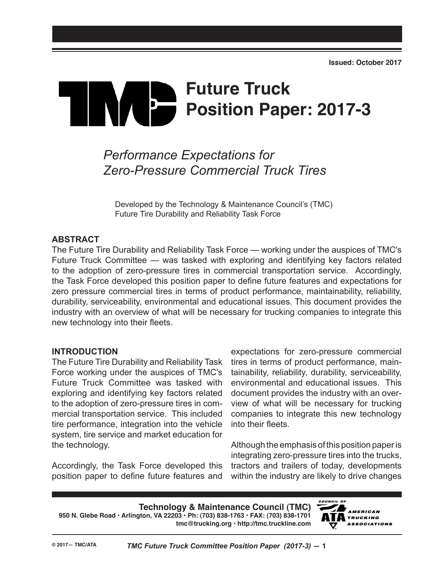# **Future Truck Position Paper: 2017-3**

# *Performance Expectations for Zero-Pressure Commercial Truck Tires*

Developed by the Technology & Maintenance Council's (TMC) Future Tire Durability and Reliability Task Force

#### **ABSTRACT**

The Future Tire Durability and Reliability Task Force — working under the auspices of TMC's Future Truck Committee — was tasked with exploring and identifying key factors related to the adoption of zero-pressure tires in commercial transportation service. Accordingly, the Task Force developed this position paper to define future features and expectations for zero pressure commercial tires in terms of product performance, maintainability, reliability, durability, serviceability, environmental and educational issues. This document provides the industry with an overview of what will be necessary for trucking companies to integrate this new technology into their fleets.

#### **INTRODUCTION**

The Future Tire Durability and Reliability Task Force working under the auspices of TMC's Future Truck Committee was tasked with exploring and identifying key factors related to the adoption of zero-pressure tires in commercial transportation service. This included tire performance, integration into the vehicle system, tire service and market education for the technology.

Accordingly, the Task Force developed this position paper to define future features and expectations for zero-pressure commercial tires in terms of product performance, maintainability, reliability, durability, serviceability, environmental and educational issues. This document provides the industry with an overview of what will be necessary for trucking companies to integrate this new technology into their fleets.

Although the emphasis of this position paper is integrating zero-pressure tires into the trucks, tractors and trailers of today, developments within the industry are likely to drive changes

**Technology & Maintenance Council (TMC) 950 N. Glebe Road • Arlington, VA 22203 • Ph: (703) 838-1763 • FAX: (703) 838-1701 tmc@trucking.org • http://tmc.truckline.com**

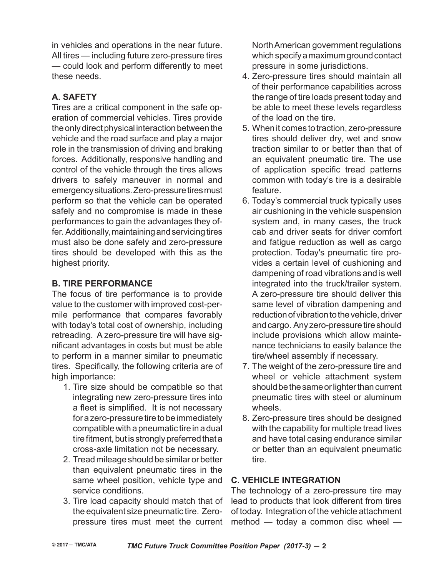in vehicles and operations in the near future. All tires — including future zero-pressure tires — could look and perform differently to meet these needs.

# **A. SAFETY**

Tires are a critical component in the safe operation of commercial vehicles. Tires provide the only direct physical interaction between the vehicle and the road surface and play a major role in the transmission of driving and braking forces. Additionally, responsive handling and control of the vehicle through the tires allows drivers to safely maneuver in normal and emergency situations. Zero-pressure tires must perform so that the vehicle can be operated safely and no compromise is made in these performances to gain the advantages they offer. Additionally, maintaining and servicing tires must also be done safely and zero-pressure tires should be developed with this as the highest priority.

## **B. Tire Performance**

The focus of tire performance is to provide value to the customer with improved cost-permile performance that compares favorably with today's total cost of ownership, including retreading. A zero-pressure tire will have significant advantages in costs but must be able to perform in a manner similar to pneumatic tires. Specifically, the following criteria are of high importance:

- 1. Tire size should be compatible so that integrating new zero-pressure tires into a fleet is simplified. It is not necessary for a zero-pressure tire to be immediately compatible with a pneumatic tire in a dual tire fitment, but is strongly preferred that a cross-axle limitation not be necessary.
- 2. Tread mileage should be similar or better than equivalent pneumatic tires in the same wheel position, vehicle type and service conditions.
- 3. Tire load capacity should match that of the equivalent size pneumatic tire. Zeropressure tires must meet the current

North American government regulations which specify a maximum ground contact pressure in some jurisdictions.

- 4. Zero-pressure tires should maintain all of their performance capabilities across the range of tire loads present today and be able to meet these levels regardless of the load on the tire.
- 5. When it comes to traction, zero-pressure tires should deliver dry, wet and snow traction similar to or better than that of an equivalent pneumatic tire. The use of application specific tread patterns common with today's tire is a desirable feature.
- 6. Today's commercial truck typically uses air cushioning in the vehicle suspension system and, in many cases, the truck cab and driver seats for driver comfort and fatigue reduction as well as cargo protection. Today's pneumatic tire provides a certain level of cushioning and dampening of road vibrations and is well integrated into the truck/trailer system. A zero-pressure tire should deliver this same level of vibration dampening and reduction of vibration to the vehicle, driver and cargo. Any zero-pressure tire should include provisions which allow maintenance technicians to easily balance the tire/wheel assembly if necessary.
- 7. The weight of the zero-pressure tire and wheel or vehicle attachment system should be the same or lighter than current pneumatic tires with steel or aluminum wheels.
- 8. Zero-pressure tires should be designed with the capability for multiple tread lives and have total casing endurance similar or better than an equivalent pneumatic tire.

#### **C. Vehicle Integration**

The technology of a zero-pressure tire may lead to products that look different from tires of today. Integration of the vehicle attachment method — today a common disc wheel —